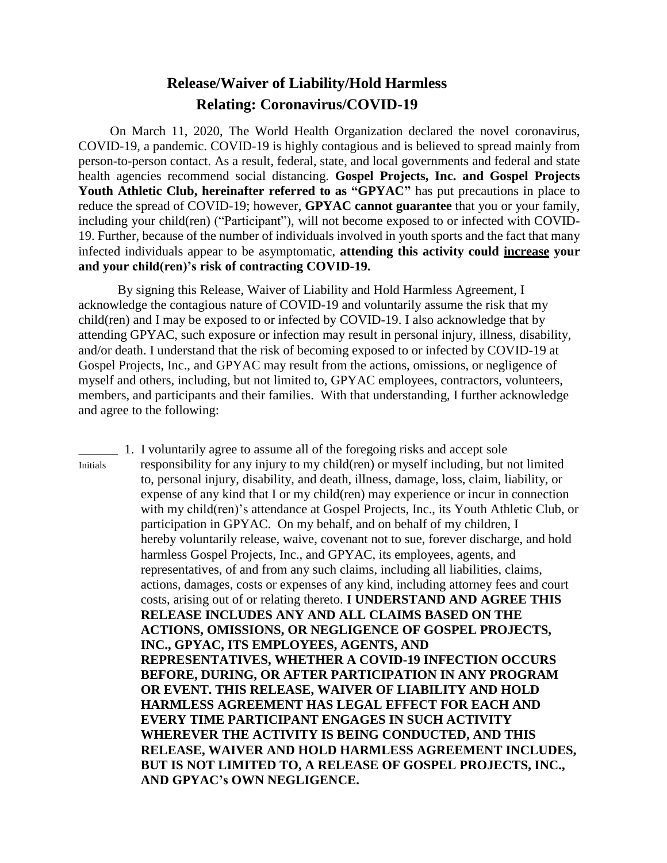## **Release/Waiver of Liability/Hold Harmless Relating: Coronavirus/COVID-19**

On March 11, 2020, The World Health Organization declared the novel coronavirus, COVID-19, a pandemic. COVID-19 is highly contagious and is believed to spread mainly from person-to-person contact. As a result, federal, state, and local governments and federal and state health agencies recommend social distancing. **Gospel Projects, Inc. and Gospel Projects Youth Athletic Club, hereinafter referred to as "GPYAC"** has put precautions in place to reduce the spread of COVID-19; however, **GPYAC cannot guarantee** that you or your family, including your child(ren) ("Participant"), will not become exposed to or infected with COVID-19. Further, because of the number of individuals involved in youth sports and the fact that many infected individuals appear to be asymptomatic, **attending this activity could increase your and your child(ren)'s risk of contracting COVID-19.**

By signing this Release, Waiver of Liability and Hold Harmless Agreement, I acknowledge the contagious nature of COVID-19 and voluntarily assume the risk that my child(ren) and I may be exposed to or infected by COVID-19. I also acknowledge that by attending GPYAC, such exposure or infection may result in personal injury, illness, disability, and/or death. I understand that the risk of becoming exposed to or infected by COVID-19 at Gospel Projects, Inc., and GPYAC may result from the actions, omissions, or negligence of myself and others, including, but not limited to, GPYAC employees, contractors, volunteers, members, and participants and their families. With that understanding, I further acknowledge and agree to the following:

\_\_\_\_\_\_ 1. I voluntarily agree to assume all of the foregoing risks and accept sole Initials responsibility for any injury to my child(ren) or myself including, but not limited to, personal injury, disability, and death, illness, damage, loss, claim, liability, or expense of any kind that I or my child(ren) may experience or incur in connection with my child(ren)'s attendance at Gospel Projects, Inc., its Youth Athletic Club, or participation in GPYAC. On my behalf, and on behalf of my children, I hereby voluntarily release, waive, covenant not to sue, forever discharge, and hold harmless Gospel Projects, Inc., and GPYAC, its employees, agents, and representatives, of and from any such claims, including all liabilities, claims, actions, damages, costs or expenses of any kind, including attorney fees and court costs, arising out of or relating thereto. **I UNDERSTAND AND AGREE THIS RELEASE INCLUDES ANY AND ALL CLAIMS BASED ON THE ACTIONS, OMISSIONS, OR NEGLIGENCE OF GOSPEL PROJECTS, INC., GPYAC, ITS EMPLOYEES, AGENTS, AND REPRESENTATIVES, WHETHER A COVID-19 INFECTION OCCURS BEFORE, DURING, OR AFTER PARTICIPATION IN ANY PROGRAM OR EVENT. THIS RELEASE, WAIVER OF LIABILITY AND HOLD HARMLESS AGREEMENT HAS LEGAL EFFECT FOR EACH AND EVERY TIME PARTICIPANT ENGAGES IN SUCH ACTIVITY WHEREVER THE ACTIVITY IS BEING CONDUCTED, AND THIS RELEASE, WAIVER AND HOLD HARMLESS AGREEMENT INCLUDES, BUT IS NOT LIMITED TO, A RELEASE OF GOSPEL PROJECTS, INC., AND GPYAC's OWN NEGLIGENCE.**